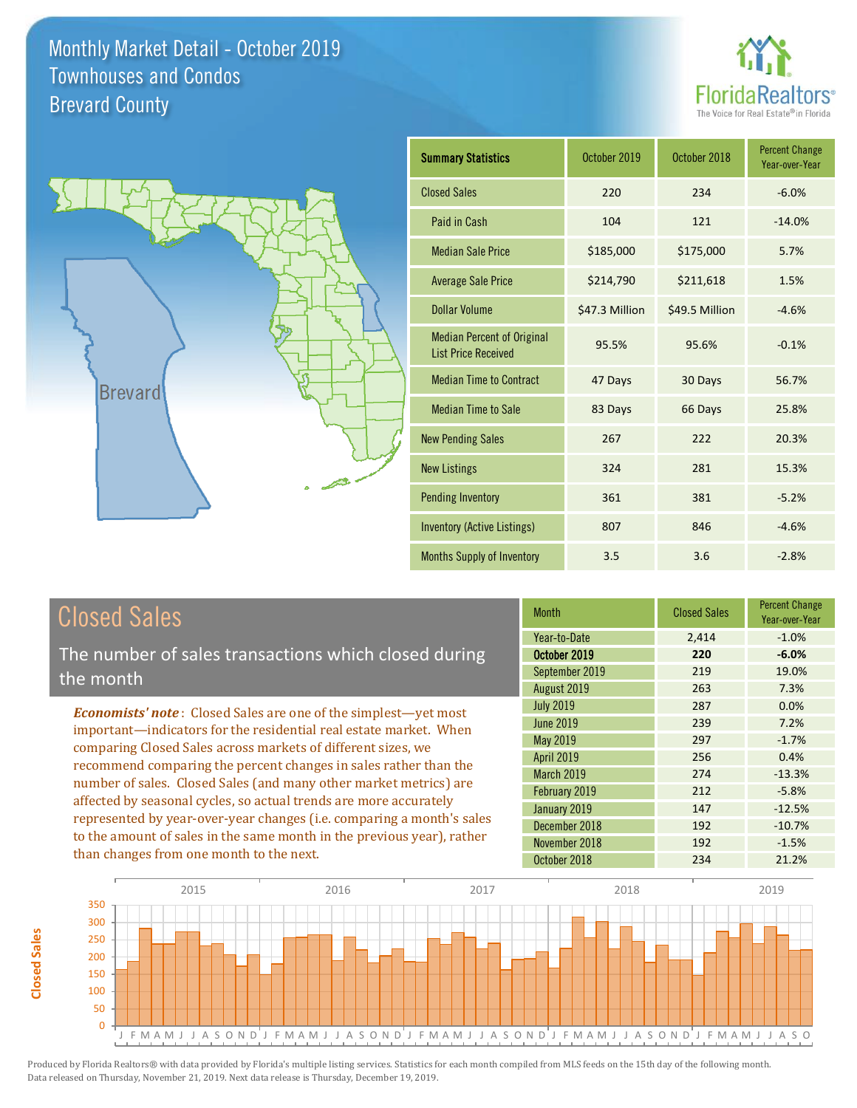



| <b>Summary Statistics</b>                                       | October 2019   | October 2018   | <b>Percent Change</b><br>Year-over-Year |
|-----------------------------------------------------------------|----------------|----------------|-----------------------------------------|
| <b>Closed Sales</b>                                             | 220            | 234            | $-6.0%$                                 |
| Paid in Cash                                                    | 104            | 121            | $-14.0%$                                |
| <b>Median Sale Price</b>                                        | \$185,000      | \$175,000      | 5.7%                                    |
| <b>Average Sale Price</b>                                       | \$214,790      | \$211,618      | 1.5%                                    |
| Dollar Volume                                                   | \$47.3 Million | \$49.5 Million | $-4.6%$                                 |
| <b>Median Percent of Original</b><br><b>List Price Received</b> | 95.5%          | 95.6%          | $-0.1%$                                 |
| <b>Median Time to Contract</b>                                  | 47 Days        | 30 Days        | 56.7%                                   |
| <b>Median Time to Sale</b>                                      | 83 Days        | 66 Days        | 25.8%                                   |
| <b>New Pending Sales</b>                                        | 267            | 222            | 20.3%                                   |
| <b>New Listings</b>                                             | 324            | 281            | 15.3%                                   |
| <b>Pending Inventory</b>                                        | 361            | 381            | $-5.2%$                                 |
| Inventory (Active Listings)                                     | 807            | 846            | $-4.6%$                                 |
| <b>Months Supply of Inventory</b>                               | 3.5            | 3.6            | $-2.8%$                                 |

## Closed Sales

The number of sales transactions which closed during the month

*Economists' note* : Closed Sales are one of the simplest—yet most important—indicators for the residential real estate market. When comparing Closed Sales across markets of different sizes, we recommend comparing the percent changes in sales rather than the number of sales. Closed Sales (and many other market metrics) are affected by seasonal cycles, so actual trends are more accurately represented by year-over-year changes (i.e. comparing a month's sales to the amount of sales in the same month in the previous year), rather than changes from one month to the next.

| <b>Month</b>      | <b>Closed Sales</b> | <b>Percent Change</b><br>Year-over-Year |
|-------------------|---------------------|-----------------------------------------|
| Year-to-Date      | 2,414               | $-1.0%$                                 |
| October 2019      | 220                 | $-6.0%$                                 |
| September 2019    | 219                 | 19.0%                                   |
| August 2019       | 263                 | 7.3%                                    |
| <b>July 2019</b>  | 287                 | 0.0%                                    |
| <b>June 2019</b>  | 239                 | 7.2%                                    |
| <b>May 2019</b>   | 297                 | $-1.7%$                                 |
| <b>April 2019</b> | 256                 | 0.4%                                    |
| March 2019        | 274                 | $-13.3%$                                |
| February 2019     | 212                 | $-5.8%$                                 |
| January 2019      | 147                 | $-12.5%$                                |
| December 2018     | 192                 | $-10.7%$                                |
| November 2018     | 192                 | $-1.5%$                                 |
| October 2018      | 234                 | 21.2%                                   |

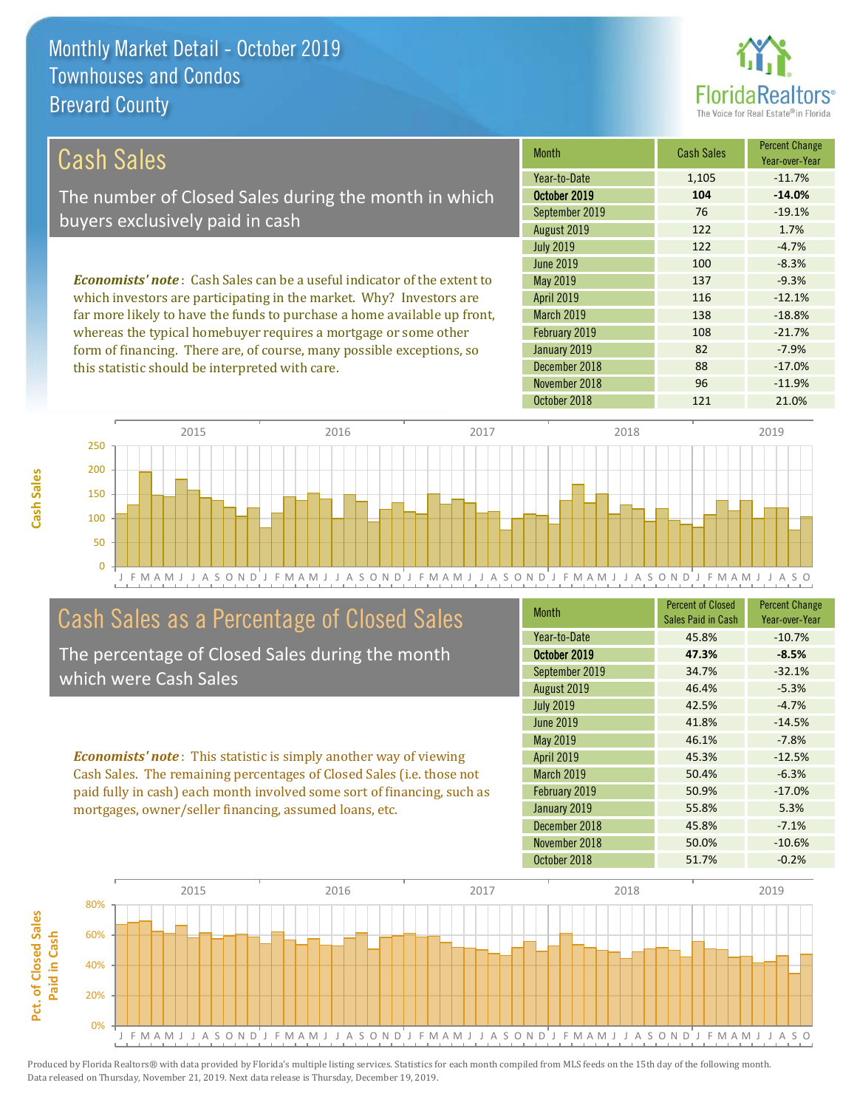this statistic should be interpreted with care.



88 -17.0%

| Cash Sales                                                                     | <b>Month</b>      | <b>Cash Sales</b> | <b>Percent Change</b><br>Year-over-Year |
|--------------------------------------------------------------------------------|-------------------|-------------------|-----------------------------------------|
|                                                                                | Year-to-Date      | 1,105             | $-11.7%$                                |
| The number of Closed Sales during the month in which                           | October 2019      | 104               | $-14.0%$                                |
| buyers exclusively paid in cash                                                | September 2019    | 76                | $-19.1%$                                |
|                                                                                | August 2019       | 122               | 1.7%                                    |
|                                                                                | <b>July 2019</b>  | 122               | $-4.7%$                                 |
|                                                                                | June 2019         | 100               | $-8.3%$                                 |
| <b>Economists' note:</b> Cash Sales can be a useful indicator of the extent to | May 2019          | 137               | $-9.3%$                                 |
| which investors are participating in the market. Why? Investors are            | <b>April 2019</b> | 116               | $-12.1%$                                |
| far more likely to have the funds to purchase a home available up front,       | <b>March 2019</b> | 138               | $-18.8%$                                |
| whereas the typical homebuyer requires a mortgage or some other                | February 2019     | 108               | $-21.7%$                                |
| form of financing. There are, of course, many possible exceptions, so          | January 2019      | 82                | $-7.9%$                                 |



## Cash Sales as a Percentage of Closed Sales

The percentage of Closed Sales during the month which were Cash Sales

*Economists' note* : This statistic is simply another way of viewing Cash Sales. The remaining percentages of Closed Sales (i.e. those not paid fully in cash) each month involved some sort of financing, such as mortgages, owner/seller financing, assumed loans, etc.

| <b>Month</b>      | <b>Percent of Closed</b><br>Sales Paid in Cash | <b>Percent Change</b><br>Year-over-Year |
|-------------------|------------------------------------------------|-----------------------------------------|
| Year-to-Date      | 45.8%                                          | $-10.7%$                                |
| October 2019      | 47.3%                                          | $-8.5%$                                 |
| September 2019    | 34.7%                                          | $-32.1%$                                |
| August 2019       | 46.4%                                          | $-5.3%$                                 |
| <b>July 2019</b>  | 42.5%                                          | $-4.7%$                                 |
| June 2019         | 41.8%                                          | $-14.5%$                                |
| May 2019          | 46.1%                                          | $-7.8%$                                 |
| <b>April 2019</b> | 45.3%                                          | $-12.5%$                                |
| <b>March 2019</b> | 50.4%                                          | $-6.3%$                                 |
| February 2019     | 50.9%                                          | $-17.0%$                                |
| January 2019      | 55.8%                                          | 5.3%                                    |
| December 2018     | 45.8%                                          | $-7.1%$                                 |
| November 2018     | 50.0%                                          | $-10.6%$                                |
| October 2018      | 51.7%                                          | $-0.2%$                                 |

October 2018 121 21.0%

November 2018 **96** -11.9%

December 2018



**Cash Sales**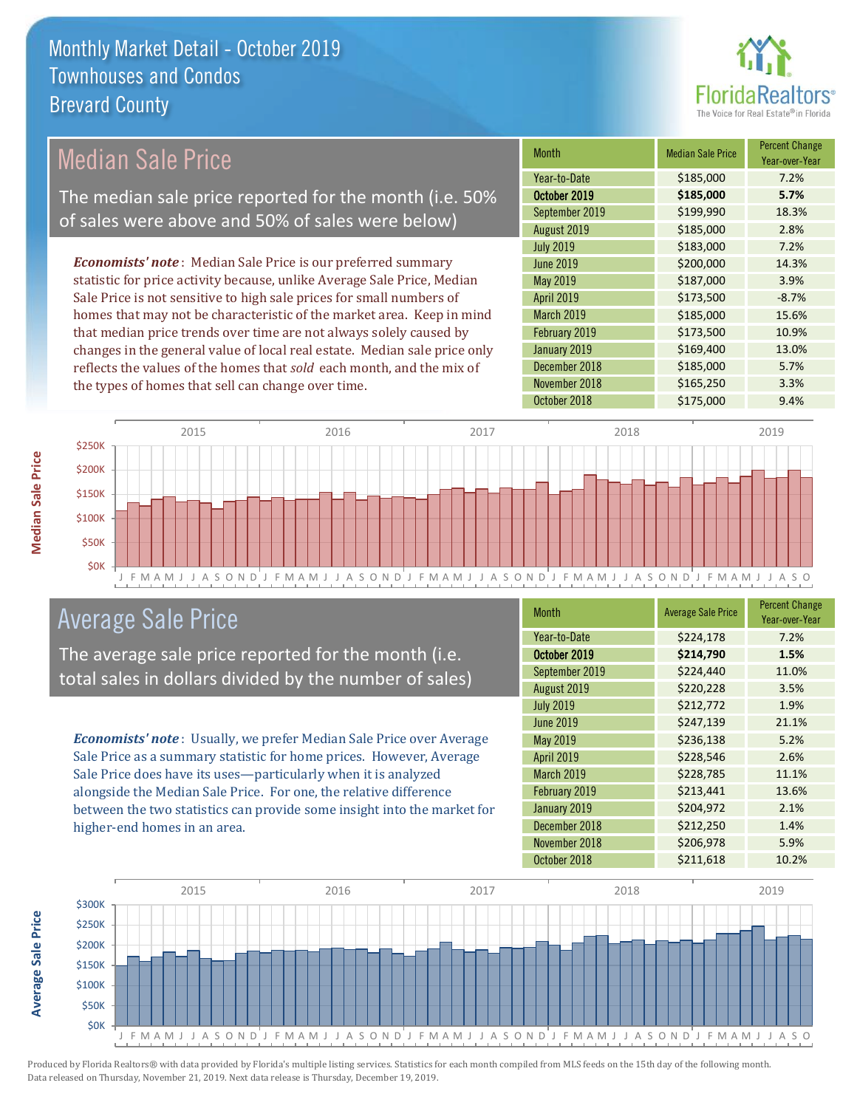

#### Month Median Sale Price Percent Change Year-over-Year October 2019 **\$185,000 5.7%** Year-to-Date \$185,000 7.2% March 2019 **\$185,000** 15.6% September 2019 **\$199,990** 18.3% August 2019 **\$185,000** 2.8% May 2019 **\$187,000** \$187,000 3.9% April 2019 **\$173,500** -8.7% July 2019 **\$183,000** 7.2% June 2019 **\$200,000** \$200,000 **14.3%** February 2019 **\$173,500** \$173,500 **10.9%** January 2019 **\$169,400** \$169,400 13.0% December 2018 **\$185,000** 5.7% November 2018 **\$165,250** 3.3% October 2018 **\$175,000** 9.4% *Economists' note* : Median Sale Price is our preferred summary statistic for price activity because, unlike Average Sale Price, Median Sale Price is not sensitive to high sale prices for small numbers of homes that may not be characteristic of the market area. Keep in mind that median price trends over time are not always solely caused by changes in the general value of local real estate. Median sale price only reflects the values of the homes that *sold* each month, and the mix of the types of homes that sell can change over time. Median Sale Price The median sale price reported for the month (i.e. 50% of sales were above and 50% of sales were below)



### Average Sale Price

The average sale price reported for the month (i.e. total sales in dollars divided by the number of sales)

*Economists' note* : Usually, we prefer Median Sale Price over Average Sale Price as a summary statistic for home prices. However, Average Sale Price does have its uses—particularly when it is analyzed alongside the Median Sale Price. For one, the relative difference between the two statistics can provide some insight into the market for higher-end homes in an area.

| Month            | <b>Average Sale Price</b> | <b>Percent Change</b><br>Year-over-Year |
|------------------|---------------------------|-----------------------------------------|
| Year-to-Date     | \$224,178                 | 7.2%                                    |
| October 2019     | \$214,790                 | 1.5%                                    |
| September 2019   | \$224,440                 | 11.0%                                   |
| August 2019      | \$220,228                 | 3.5%                                    |
| <b>July 2019</b> | \$212,772                 | 1.9%                                    |
| <b>June 2019</b> | \$247,139                 | 21.1%                                   |
| May 2019         | \$236,138                 | 5.2%                                    |
| April 2019       | \$228,546                 | 2.6%                                    |
| March 2019       | \$228,785                 | 11.1%                                   |
| February 2019    | \$213,441                 | 13.6%                                   |
| January 2019     | \$204,972                 | 2.1%                                    |
| December 2018    | \$212,250                 | 1.4%                                    |
| November 2018    | \$206,978                 | 5.9%                                    |
| October 2018     | \$211,618                 | 10.2%                                   |

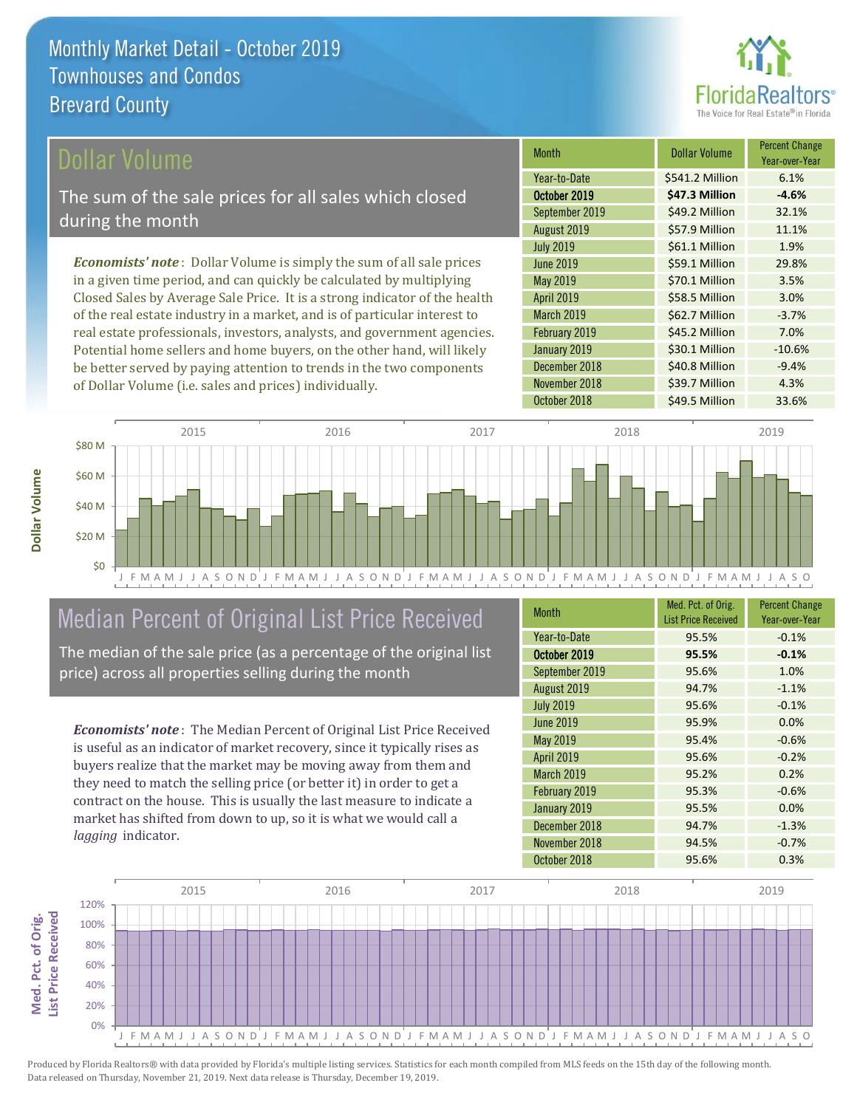

#### ollar Volume

The sum of the sale prices for all sales which closed during the month

*Economists' note* : Dollar Volume is simply the sum of all sale prices in a given time period, and can quickly be calculated by multiplying Closed Sales by Average Sale Price. It is a strong indicator of the health of the real estate industry in a market, and is of particular interest to real estate professionals, investors, analysts, and government agencies. Potential home sellers and home buyers, on the other hand, will likely be better served by paying attention to trends in the two components of Dollar Volume (i.e. sales and prices) individually.

| Month            | <b>Dollar Volume</b> | <b>Percent Change</b><br>Year-over-Year |
|------------------|----------------------|-----------------------------------------|
| Year-to-Date     | \$541.2 Million      | 6.1%                                    |
| October 2019     | \$47.3 Million       | $-4.6%$                                 |
| September 2019   | \$49.2 Million       | 32.1%                                   |
| August 2019      | \$57.9 Million       | 11.1%                                   |
| <b>July 2019</b> | \$61.1 Million       | 1.9%                                    |
| June 2019        | \$59.1 Million       | 29.8%                                   |
| May 2019         | \$70.1 Million       | 3.5%                                    |
| April 2019       | \$58.5 Million       | 3.0%                                    |
| March 2019       | \$62.7 Million       | $-3.7%$                                 |
| February 2019    | \$45.2 Million       | 7.0%                                    |
| January 2019     | \$30.1 Million       | $-10.6%$                                |
| December 2018    | \$40.8 Million       | $-9.4%$                                 |
| November 2018    | \$39.7 Million       | 4.3%                                    |
| October 2018     | \$49.5 Million       | 33.6%                                   |



## Median Percent of Original List Price Received

The median of the sale price (as a percentage of the original list price) across all properties selling during the month

*Economists' note* : The Median Percent of Original List Price Received is useful as an indicator of market recovery, since it typically rises as buyers realize that the market may be moving away from them and they need to match the selling price (or better it) in order to get a contract on the house. This is usually the last measure to indicate a market has shifted from down to up, so it is what we would call a *lagging* indicator.

| <b>Month</b>      | Med. Pct. of Orig.<br><b>List Price Received</b> | <b>Percent Change</b><br>Year-over-Year |
|-------------------|--------------------------------------------------|-----------------------------------------|
| Year-to-Date      | 95.5%                                            | $-0.1%$                                 |
| October 2019      | 95.5%                                            | $-0.1%$                                 |
| September 2019    | 95.6%                                            | 1.0%                                    |
| August 2019       | 94.7%                                            | $-1.1%$                                 |
| <b>July 2019</b>  | 95.6%                                            | $-0.1%$                                 |
| <b>June 2019</b>  | 95.9%                                            | 0.0%                                    |
| <b>May 2019</b>   | 95.4%                                            | $-0.6%$                                 |
| <b>April 2019</b> | 95.6%                                            | $-0.2%$                                 |
| March 2019        | 95.2%                                            | 0.2%                                    |
| February 2019     | 95.3%                                            | $-0.6%$                                 |
| January 2019      | 95.5%                                            | 0.0%                                    |
| December 2018     | 94.7%                                            | $-1.3%$                                 |
| November 2018     | 94.5%                                            | $-0.7%$                                 |
| October 2018      | 95.6%                                            | 0.3%                                    |

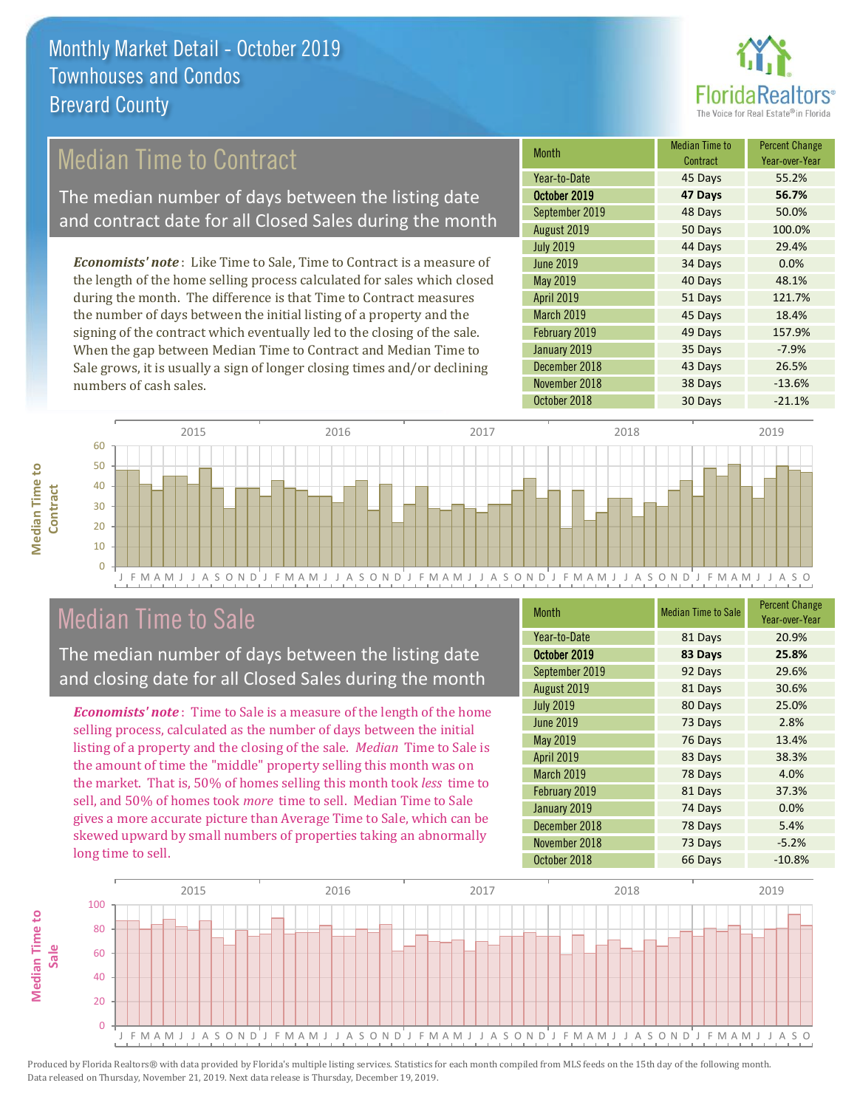

## Median Time to Contract

The median number of days between the listing date and contract date for all Closed Sales during the month

*Economists' note* : Like Time to Sale, Time to Contract is a measure of the length of the home selling process calculated for sales which closed during the month. The difference is that Time to Contract measures the number of days between the initial listing of a property and the signing of the contract which eventually led to the closing of the sale. When the gap between Median Time to Contract and Median Time to Sale grows, it is usually a sign of longer closing times and/or declining numbers of cash sales.

| Month            | <b>Median Time to</b><br>Contract | <b>Percent Change</b><br>Year-over-Year |
|------------------|-----------------------------------|-----------------------------------------|
| Year-to-Date     | 45 Days                           | 55.2%                                   |
| October 2019     | 47 Days                           | 56.7%                                   |
| September 2019   | 48 Days                           | 50.0%                                   |
| August 2019      | 50 Days                           | 100.0%                                  |
| <b>July 2019</b> | 44 Days                           | 29.4%                                   |
| <b>June 2019</b> | 34 Days                           | 0.0%                                    |
| May 2019         | 40 Days                           | 48.1%                                   |
| April 2019       | 51 Days                           | 121.7%                                  |
| March 2019       | 45 Days                           | 18.4%                                   |
| February 2019    | 49 Days                           | 157.9%                                  |
| January 2019     | 35 Days                           | $-7.9%$                                 |
| December 2018    | 43 Days                           | 26.5%                                   |
| November 2018    | 38 Days                           | $-13.6%$                                |
| October 2018     | 30 Days                           | $-21.1%$                                |



### Median Time to Sale

**Median Time to** 

**Median Time to** 

The median number of days between the listing date and closing date for all Closed Sales during the month

*Economists' note* : Time to Sale is a measure of the length of the home selling process, calculated as the number of days between the initial listing of a property and the closing of the sale. *Median* Time to Sale is the amount of time the "middle" property selling this month was on the market. That is, 50% of homes selling this month took *less* time to sell, and 50% of homes took *more* time to sell. Median Time to Sale gives a more accurate picture than Average Time to Sale, which can be skewed upward by small numbers of properties taking an abnormally long time to sell.

| <b>Month</b>     | <b>Median Time to Sale</b> | <b>Percent Change</b><br>Year-over-Year |
|------------------|----------------------------|-----------------------------------------|
| Year-to-Date     | 81 Days                    | 20.9%                                   |
| October 2019     | 83 Days                    | 25.8%                                   |
| September 2019   | 92 Days                    | 29.6%                                   |
| August 2019      | 81 Days                    | 30.6%                                   |
| <b>July 2019</b> | 80 Days                    | 25.0%                                   |
| <b>June 2019</b> | 73 Days                    | 2.8%                                    |
| May 2019         | 76 Days                    | 13.4%                                   |
| April 2019       | 83 Days                    | 38.3%                                   |
| March 2019       | 78 Days                    | 4.0%                                    |
| February 2019    | 81 Days                    | 37.3%                                   |
| January 2019     | 74 Days                    | 0.0%                                    |
| December 2018    | 78 Days                    | 5.4%                                    |
| November 2018    | 73 Days                    | $-5.2%$                                 |
| October 2018     | 66 Days                    | $-10.8%$                                |

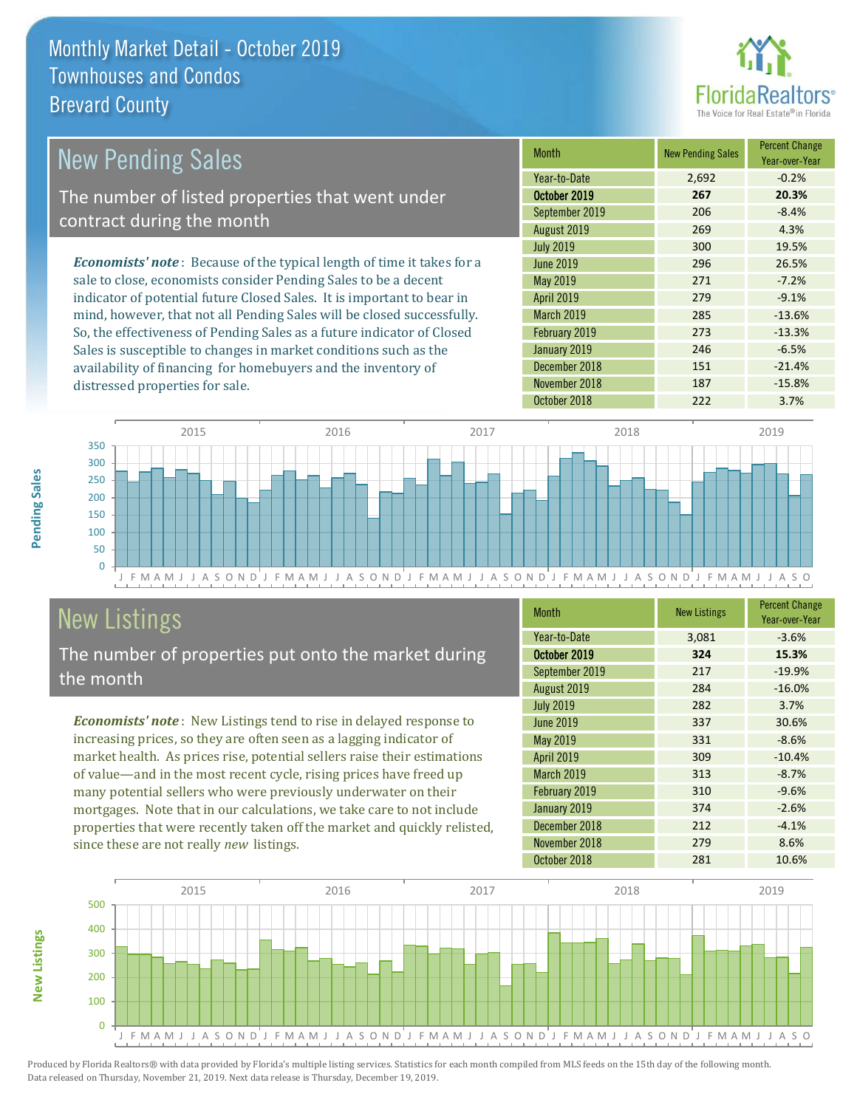

| New Pending Sales                                                              | <b>Month</b>      | <b>New Pending Sales</b> | <b>Percent Change</b><br>Year-over-Year |
|--------------------------------------------------------------------------------|-------------------|--------------------------|-----------------------------------------|
|                                                                                | Year-to-Date      | 2,692                    | $-0.2%$                                 |
| The number of listed properties that went under                                | October 2019      | 267                      | 20.3%                                   |
| contract during the month                                                      | September 2019    | 206                      | $-8.4%$                                 |
|                                                                                | August 2019       | 269                      | 4.3%                                    |
|                                                                                | <b>July 2019</b>  | 300                      | 19.5%                                   |
| <b>Economists' note</b> : Because of the typical length of time it takes for a | June 2019         | 296                      | 26.5%                                   |
| sale to close, economists consider Pending Sales to be a decent                | May 2019          | 271                      | $-7.2%$                                 |
| indicator of potential future Closed Sales. It is important to bear in         | <b>April 2019</b> | 279                      | $-9.1%$                                 |
| mind, however, that not all Pending Sales will be closed successfully.         | <b>March 2019</b> | 285                      | $-13.6%$                                |
| So, the effectiveness of Pending Sales as a future indicator of Closed         | February 2019     | 273                      | $-13.3%$                                |
| Sales is susceptible to changes in market conditions such as the               | January 2019      | 246                      | $-6.5%$                                 |



## New Listings

distressed properties for sale.

The number of properties put onto the market during the month

availability of financing for homebuyers and the inventory of

*Economists' note* : New Listings tend to rise in delayed response to increasing prices, so they are often seen as a lagging indicator of market health. As prices rise, potential sellers raise their estimations of value—and in the most recent cycle, rising prices have freed up many potential sellers who were previously underwater on their mortgages. Note that in our calculations, we take care to not include properties that were recently taken off the market and quickly relisted, since these are not really *new* listings.

| <b>Month</b>      | <b>New Listings</b> | <b>Percent Change</b><br>Year-over-Year |
|-------------------|---------------------|-----------------------------------------|
| Year-to-Date      | 3,081               | $-3.6%$                                 |
| October 2019      | 324                 | 15.3%                                   |
| September 2019    | 217                 | $-19.9%$                                |
| August 2019       | 284                 | $-16.0%$                                |
| <b>July 2019</b>  | 282                 | 3.7%                                    |
| <b>June 2019</b>  | 337                 | 30.6%                                   |
| May 2019          | 331                 | $-8.6%$                                 |
| <b>April 2019</b> | 309                 | $-10.4%$                                |
| March 2019        | 313                 | $-8.7%$                                 |
| February 2019     | 310                 | $-9.6%$                                 |
| January 2019      | 374                 | $-2.6%$                                 |
| December 2018     | 212                 | $-4.1%$                                 |
| November 2018     | 279                 | 8.6%                                    |
| October 2018      | 281                 | 10.6%                                   |

December 2018 151 -21.4% November 2018 187 187 -15.8%



Produced by Florida Realtors® with data provided by Florida's multiple listing services. Statistics for each month compiled from MLS feeds on the 15th day of the following month. Data released on Thursday, November 21, 2019. Next data release is Thursday, December 19, 2019.

**New Listings**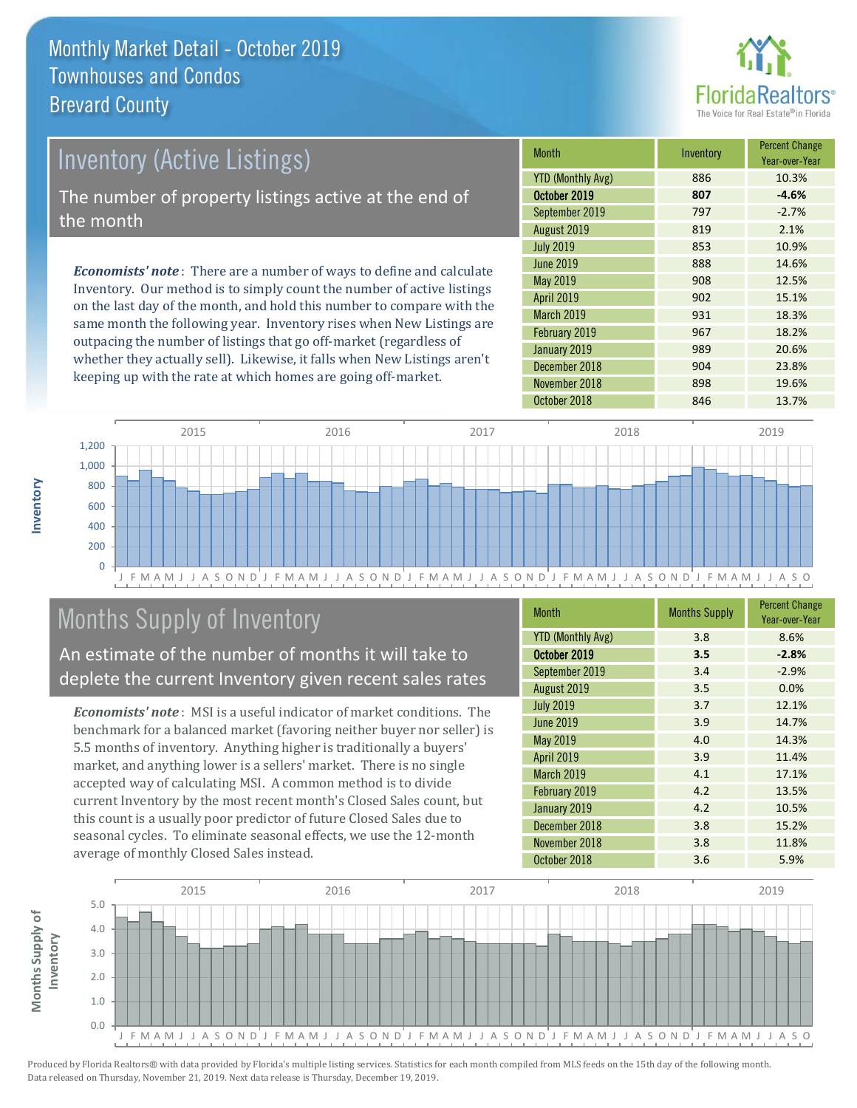

## *Economists' note* : There are a number of ways to define and calculate Inventory. Our method is to simply count the number of active listings Inventory (Active Listings) The number of property listings active at the end of the month

on the last day of the month, and hold this number to compare with the same month the following year. Inventory rises when New Listings are outpacing the number of listings that go off-market (regardless of whether they actually sell). Likewise, it falls when New Listings aren't keeping up with the rate at which homes are going off-market.

| <b>Month</b>             | Inventory | <b>Percent Change</b><br>Year-over-Year |
|--------------------------|-----------|-----------------------------------------|
| <b>YTD (Monthly Avg)</b> | 886       | 10.3%                                   |
| October 2019             | 807       | $-4.6%$                                 |
| September 2019           | 797       | $-2.7%$                                 |
| August 2019              | 819       | 2.1%                                    |
| <b>July 2019</b>         | 853       | 10.9%                                   |
| June 2019                | 888       | 14.6%                                   |
| May 2019                 | 908       | 12.5%                                   |
| <b>April 2019</b>        | 902       | 15.1%                                   |
| March 2019               | 931       | 18.3%                                   |
| February 2019            | 967       | 18.2%                                   |
| January 2019             | 989       | 20.6%                                   |
| December 2018            | 904       | 23.8%                                   |
| November 2018            | 898       | 19.6%                                   |
| October 2018             | 846       | 13.7%                                   |



## Months Supply of Inventory

An estimate of the number of months it will take to deplete the current Inventory given recent sales rates

*Economists' note* : MSI is a useful indicator of market conditions. The benchmark for a balanced market (favoring neither buyer nor seller) is 5.5 months of inventory. Anything higher is traditionally a buyers' market, and anything lower is a sellers' market. There is no single accepted way of calculating MSI. A common method is to divide current Inventory by the most recent month's Closed Sales count, but this count is a usually poor predictor of future Closed Sales due to seasonal cycles. To eliminate seasonal effects, we use the 12-month average of monthly Closed Sales instead.

| <b>Month</b>             | <b>Months Supply</b> | <b>Percent Change</b><br>Year-over-Year |
|--------------------------|----------------------|-----------------------------------------|
| <b>YTD (Monthly Avg)</b> | 3.8                  | 8.6%                                    |
| October 2019             | 3.5                  | $-2.8%$                                 |
| September 2019           | 3.4                  | $-2.9%$                                 |
| August 2019              | 3.5                  | 0.0%                                    |
| <b>July 2019</b>         | 3.7                  | 12.1%                                   |
| <b>June 2019</b>         | 3.9                  | 14.7%                                   |
| <b>May 2019</b>          | 4.0                  | 14.3%                                   |
| <b>April 2019</b>        | 3.9                  | 11.4%                                   |
| March 2019               | 4.1                  | 17.1%                                   |
| February 2019            | 4.2                  | 13.5%                                   |
| January 2019             | 4.2                  | 10.5%                                   |
| December 2018            | 3.8                  | 15.2%                                   |
| November 2018            | 3.8                  | 11.8%                                   |
| October 2018             | 3.6                  | 5.9%                                    |

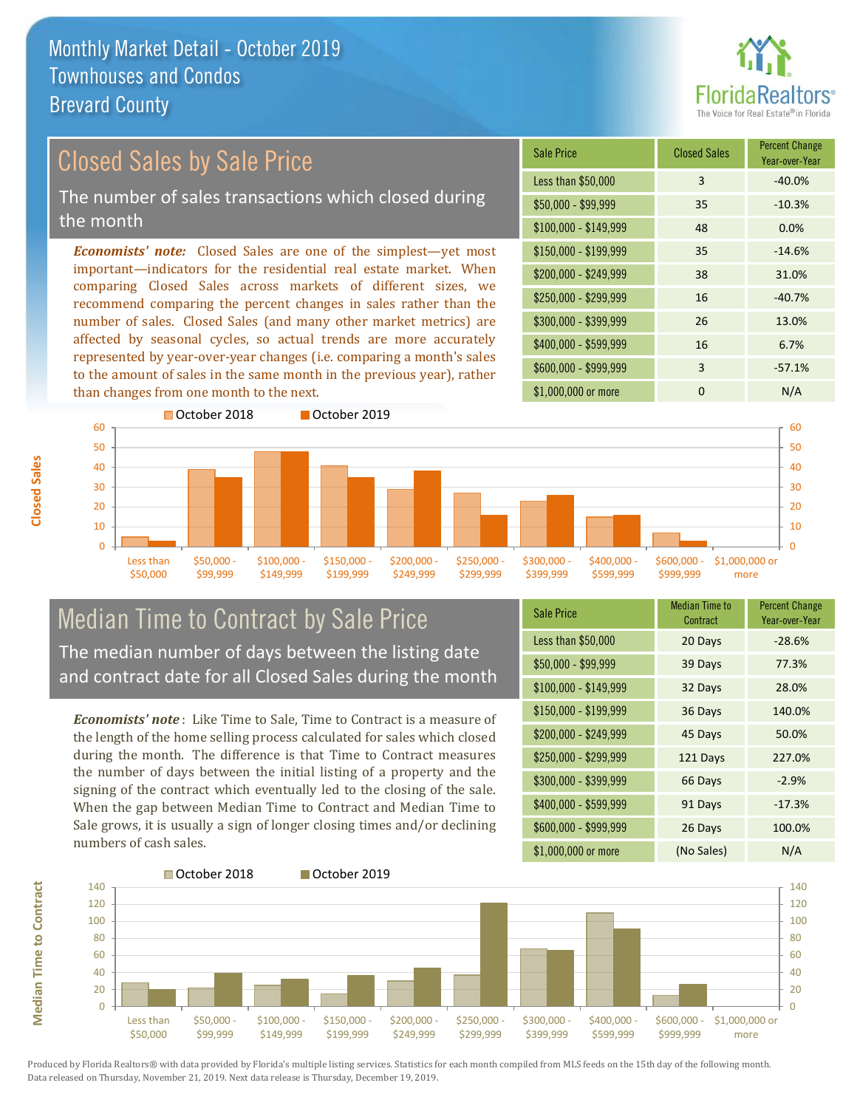than changes from one month to the next.



#### *Economists' note:* Closed Sales are one of the simplest—yet most important—indicators for the residential real estate market. When comparing Closed Sales across markets of different sizes, we recommend comparing the percent changes in sales rather than the number of sales. Closed Sales (and many other market metrics) are affected by seasonal cycles, so actual trends are more accurately represented by year-over-year changes (i.e. comparing a month's sales to the amount of sales in the same month in the previous year), rather  $$250,000 - $299,999$  16  $-40.7\%$ \$300,000 - \$399,999 26 13.0% \$400,000 - \$599,999 16 6.7% \$600,000 - \$999,999 3 -57.1% \$150,000 - \$199,999 35 -14.6% \$200,000 - \$249,999 38 31.0% \$100,000 - \$149,999 48 0.0% Sale Price Closed Sales Percent Change Year-over-Year Less than \$50,000 3 -40.0% \$50,000 - \$99,999 35 -10.3% Closed Sales by Sale Price The number of sales transactions which closed during the month



#### Median Time to Contract by Sale Price The median number of days between the listing date and contract date for all Closed Sales during the month

*Economists' note* : Like Time to Sale, Time to Contract is a measure of the length of the home selling process calculated for sales which closed during the month. The difference is that Time to Contract measures the number of days between the initial listing of a property and the signing of the contract which eventually led to the closing of the sale. When the gap between Median Time to Contract and Median Time to Sale grows, it is usually a sign of longer closing times and/or declining numbers of cash sales.

| <b>Sale Price</b>     | <b>Median Time to</b><br>Contract | <b>Percent Change</b><br>Year-over-Year |
|-----------------------|-----------------------------------|-----------------------------------------|
| Less than \$50,000    | 20 Days                           | $-28.6%$                                |
| $$50,000 - $99,999$   | 39 Days                           | 77.3%                                   |
| $$100,000 - $149,999$ | 32 Days                           | 28.0%                                   |
| $$150,000 - $199,999$ | 36 Days                           | 140.0%                                  |
| \$200,000 - \$249,999 | 45 Days                           | 50.0%                                   |
| \$250,000 - \$299,999 | 121 Days                          | 227.0%                                  |
| \$300,000 - \$399,999 | 66 Days                           | $-2.9%$                                 |
| \$400,000 - \$599,999 | 91 Days                           | $-17.3%$                                |
| \$600,000 - \$999,999 | 26 Days                           | 100.0%                                  |
| \$1,000,000 or more   | (No Sales)                        | N/A                                     |

\$1,000,000 or more 0 0 N/A



\$250,000 -\$299,999 \$300,000 - \$399,999  $$400,000 -$ \$599,999 \$600,000 - \$999,999 \$1,000,000 or more

**Closed Sales**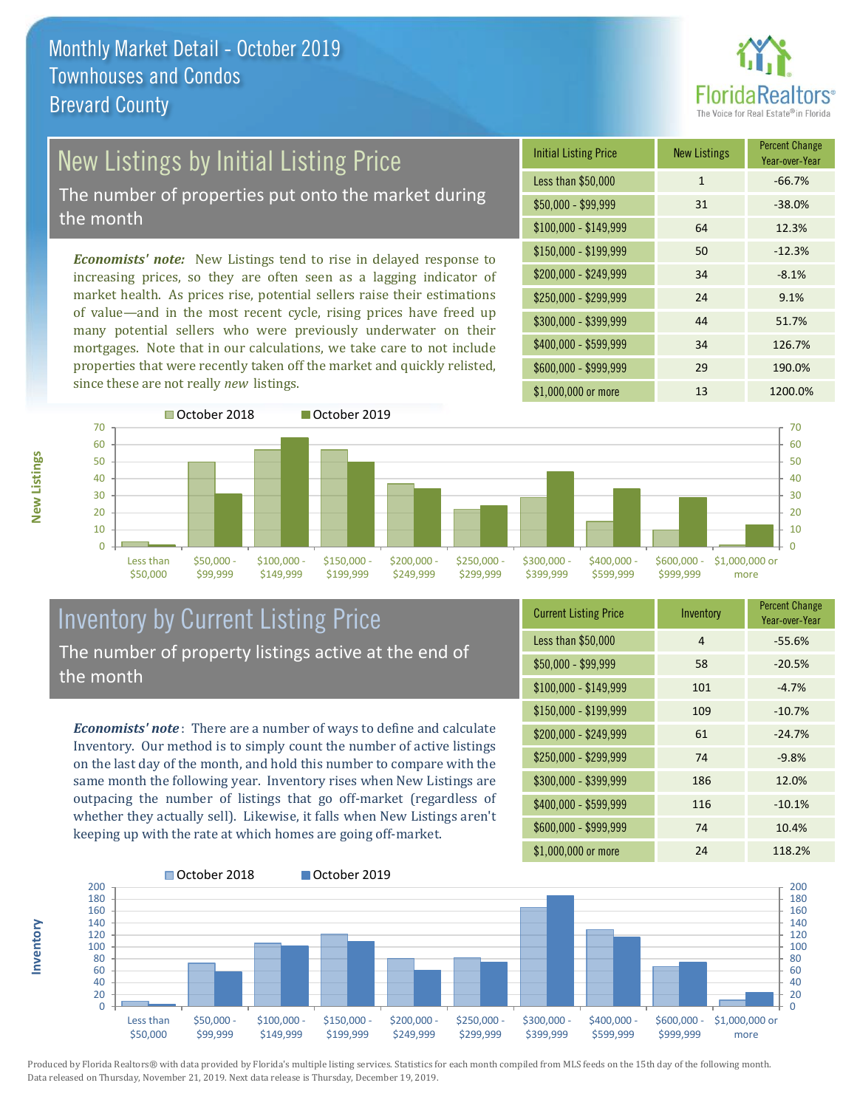

# New Listings by Initial Listing Price

The number of properties put onto the market during the month

*Economists' note:* New Listings tend to rise in delayed response to increasing prices, so they are often seen as a lagging indicator of market health. As prices rise, potential sellers raise their estimations of value—and in the most recent cycle, rising prices have freed up many potential sellers who were previously underwater on their mortgages. Note that in our calculations, we take care to not include properties that were recently taken off the market and quickly relisted, since these are not really *new* listings.





#### Inventory by Current Listing Price The number of property listings active at the end of the month

*Economists' note* : There are a number of ways to define and calculate Inventory. Our method is to simply count the number of active listings on the last day of the month, and hold this number to compare with the same month the following year. Inventory rises when New Listings are outpacing the number of listings that go off-market (regardless of whether they actually sell). Likewise, it falls when New Listings aren't keeping up with the rate at which homes are going off-market.

| <b>Current Listing Price</b> | Inventory | <b>Percent Change</b><br>Year-over-Year |
|------------------------------|-----------|-----------------------------------------|
| Less than \$50,000           | 4         | $-55.6%$                                |
| $$50,000 - $99,999$          | 58        | $-20.5%$                                |
| $$100,000 - $149,999$        | 101       | $-4.7%$                                 |
| $$150,000 - $199,999$        | 109       | $-10.7%$                                |
| \$200,000 - \$249,999        | 61        | $-24.7%$                                |
| \$250,000 - \$299,999        | 74        | $-9.8%$                                 |
| \$300,000 - \$399,999        | 186       | 12.0%                                   |
| \$400,000 - \$599,999        | 116       | $-10.1%$                                |
| \$600,000 - \$999,999        | 74        | 10.4%                                   |
| \$1,000,000 or more          | 24        | 118.2%                                  |



Produced by Florida Realtors® with data provided by Florida's multiple listing services. Statistics for each month compiled from MLS feeds on the 15th day of the following month. Data released on Thursday, November 21, 2019. Next data release is Thursday, December 19, 2019.

**Inventory**